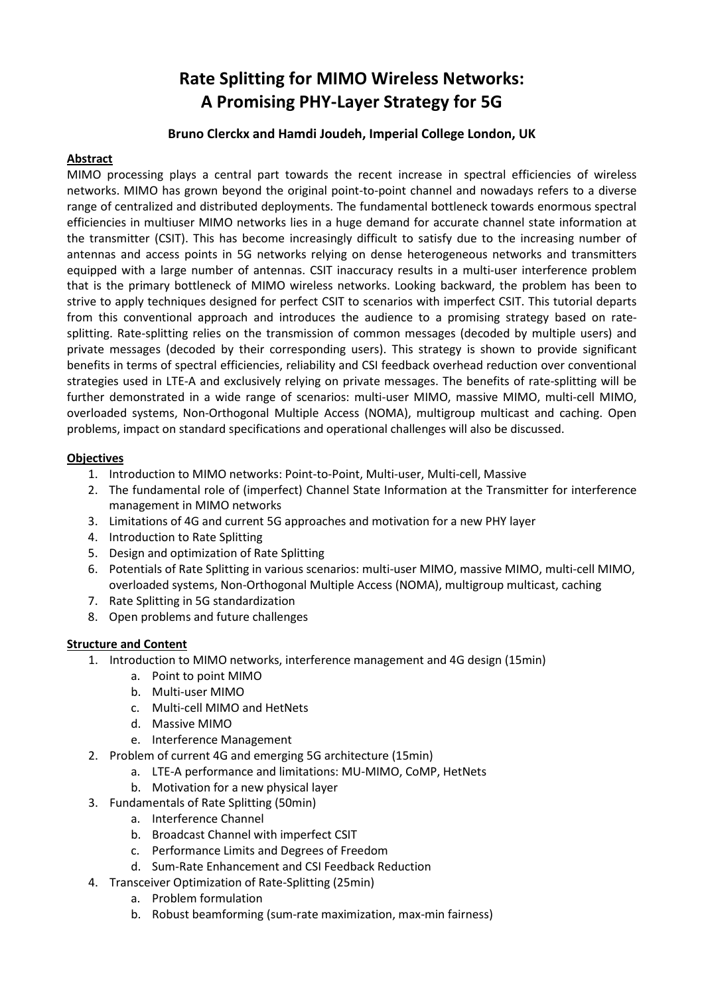# **Rate Splitting for MIMO Wireless Networks: A Promising PHY-Layer Strategy for 5G**

# **Bruno Clerckx and Hamdi Joudeh, Imperial College London, UK**

# **Abstract**

MIMO processing plays a central part towards the recent increase in spectral efficiencies of wireless networks. MIMO has grown beyond the original point-to-point channel and nowadays refers to a diverse range of centralized and distributed deployments. The fundamental bottleneck towards enormous spectral efficiencies in multiuser MIMO networks lies in a huge demand for accurate channel state information at the transmitter (CSIT). This has become increasingly difficult to satisfy due to the increasing number of antennas and access points in 5G networks relying on dense heterogeneous networks and transmitters equipped with a large number of antennas. CSIT inaccuracy results in a multi-user interference problem that is the primary bottleneck of MIMO wireless networks. Looking backward, the problem has been to strive to apply techniques designed for perfect CSIT to scenarios with imperfect CSIT. This tutorial departs from this conventional approach and introduces the audience to a promising strategy based on ratesplitting. Rate-splitting relies on the transmission of common messages (decoded by multiple users) and private messages (decoded by their corresponding users). This strategy is shown to provide significant benefits in terms of spectral efficiencies, reliability and CSI feedback overhead reduction over conventional strategies used in LTE-A and exclusively relying on private messages. The benefits of rate-splitting will be further demonstrated in a wide range of scenarios: multi-user MIMO, massive MIMO, multi-cell MIMO, overloaded systems, Non-Orthogonal Multiple Access (NOMA), multigroup multicast and caching. Open problems, impact on standard specifications and operational challenges will also be discussed.

# **Objectives**

- 1. Introduction to MIMO networks: Point-to-Point, Multi-user, Multi-cell, Massive
- 2. The fundamental role of (imperfect) Channel State Information at the Transmitter for interference management in MIMO networks
- 3. Limitations of 4G and current 5G approaches and motivation for a new PHY layer
- 4. Introduction to Rate Splitting
- 5. Design and optimization of Rate Splitting
- 6. Potentials of Rate Splitting in various scenarios: multi-user MIMO, massive MIMO, multi-cell MIMO, overloaded systems, Non-Orthogonal Multiple Access (NOMA), multigroup multicast, caching
- 7. Rate Splitting in 5G standardization
- 8. Open problems and future challenges

#### **Structure and Content**

- 1. Introduction to MIMO networks, interference management and 4G design (15min)
	- a. Point to point MIMO
	- b. Multi-user MIMO
	- c. Multi-cell MIMO and HetNets
	- d. Massive MIMO
	- e. Interference Management
- 2. Problem of current 4G and emerging 5G architecture (15min)
	- a. LTE-A performance and limitations: MU-MIMO, CoMP, HetNets
	- b. Motivation for a new physical layer
- 3. Fundamentals of Rate Splitting (50min)
	- a. Interference Channel
	- b. Broadcast Channel with imperfect CSIT
	- c. Performance Limits and Degrees of Freedom
	- d. Sum-Rate Enhancement and CSI Feedback Reduction
- 4. Transceiver Optimization of Rate-Splitting (25min)
	- a. Problem formulation
	- b. Robust beamforming (sum-rate maximization, max-min fairness)